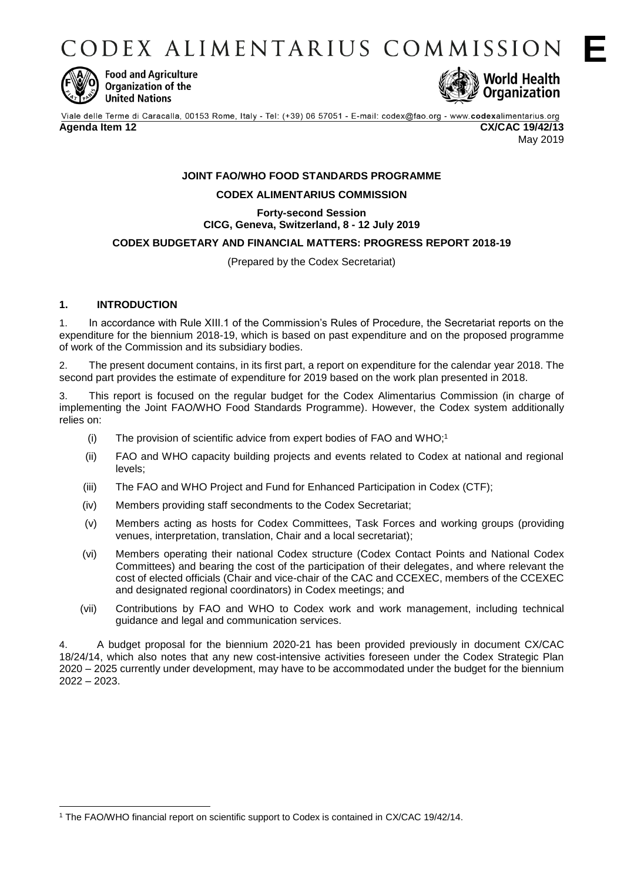CODEX ALIMENTARIUS COMMISSION



**Food and Agriculture** Organization of the **United Nations** 



Viale delle Terme di Caracalla, 00153 Rome, Italy - Tel: (+39) 06 57051 - E-mail: codex@fao.org - www.codexalimentarius.org **Agenda Item 12 CX/CAC 19/42/13** May 2019

# **JOINT FAO/WHO FOOD STANDARDS PROGRAMME CODEX ALIMENTARIUS COMMISSION**

# **Forty-second Session CICG, Geneva, Switzerland, 8 - 12 July 2019**

### **CODEX BUDGETARY AND FINANCIAL MATTERS: PROGRESS REPORT 2018-19**

(Prepared by the Codex Secretariat)

# **1. INTRODUCTION**

-

1. In accordance with Rule XIII.1 of the Commission's Rules of Procedure, the Secretariat reports on the expenditure for the biennium 2018-19, which is based on past expenditure and on the proposed programme of work of the Commission and its subsidiary bodies.

2. The present document contains, in its first part, a report on expenditure for the calendar year 2018. The second part provides the estimate of expenditure for 2019 based on the work plan presented in 2018.

3. This report is focused on the regular budget for the Codex Alimentarius Commission (in charge of implementing the Joint FAO/WHO Food Standards Programme). However, the Codex system additionally relies on:

- (i) The provision of scientific advice from expert bodies of FAO and WHO; 1
- (ii) FAO and WHO capacity building projects and events related to Codex at national and regional levels;
- (iii) The FAO and WHO Project and Fund for Enhanced Participation in Codex (CTF);
- (iv) Members providing staff secondments to the Codex Secretariat;
- (v) Members acting as hosts for Codex Committees, Task Forces and working groups (providing venues, interpretation, translation, Chair and a local secretariat);
- (vi) Members operating their national Codex structure (Codex Contact Points and National Codex Committees) and bearing the cost of the participation of their delegates, and where relevant the cost of elected officials (Chair and vice-chair of the CAC and CCEXEC, members of the CCEXEC and designated regional coordinators) in Codex meetings; and
- (vii) Contributions by FAO and WHO to Codex work and work management, including technical guidance and legal and communication services.

4. A budget proposal for the biennium 2020-21 has been provided previously in document CX/CAC 18/24/14, which also notes that any new cost-intensive activities foreseen under the Codex Strategic Plan 2020 – 2025 currently under development, may have to be accommodated under the budget for the biennium 2022 – 2023.

<sup>1</sup> The FAO/WHO financial report on scientific support to Codex is contained in CX/CAC 19/42/14.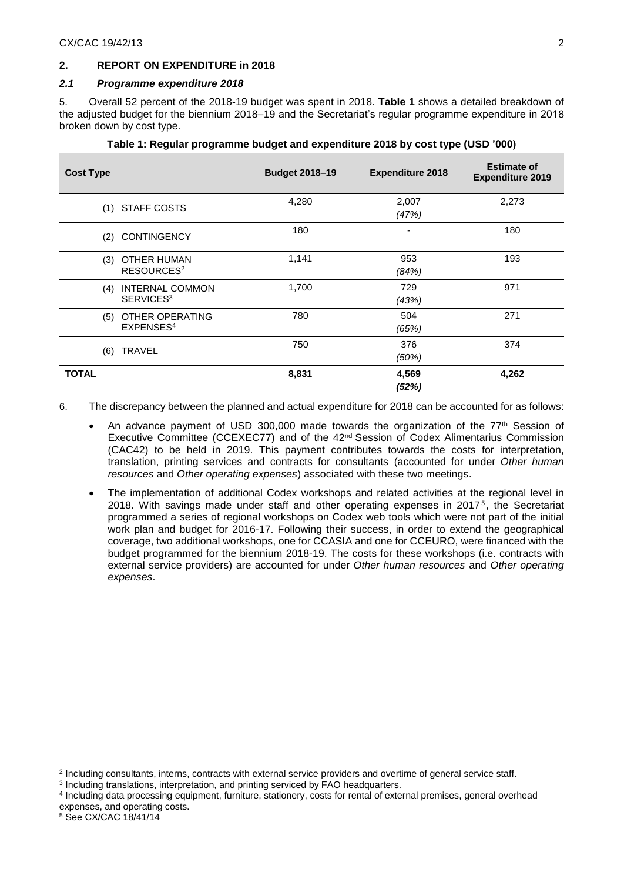### **2. REPORT ON EXPENDITURE in 2018**

#### *2.1 Programme expenditure 2018*

5. Overall 52 percent of the 2018-19 budget was spent in 2018. **Table 1** shows a detailed breakdown of the adjusted budget for the biennium 2018–19 and the Secretariat's regular programme expenditure in 2018 broken down by cost type.

| <b>Cost Type</b>                                       | <b>Budget 2018-19</b> | <b>Expenditure 2018</b> | <b>Estimate of</b><br><b>Expenditure 2019</b> |
|--------------------------------------------------------|-----------------------|-------------------------|-----------------------------------------------|
| (1) STAFF COSTS                                        | 4,280                 | 2,007<br>(47%)          | 2,273                                         |
| <b>CONTINGENCY</b><br>(2)                              | 180                   |                         | 180                                           |
| (3)<br>OTHER HUMAN<br>RESOURCES <sup>2</sup>           | 1,141                 | 953<br>(84%)            | 193                                           |
| <b>INTERNAL COMMON</b><br>(4)<br>SERVICES <sup>3</sup> | 1,700                 | 729<br>(43%)            | 971                                           |
| OTHER OPERATING<br>(5)<br>EXPENSES <sup>4</sup>        | 780                   | 504<br>(65%)            | 271                                           |
| <b>TRAVEL</b><br>(6)                                   | 750                   | 376<br>(50%)            | 374                                           |
| <b>TOTAL</b>                                           | 8,831                 | 4,569<br>(52%)          | 4,262                                         |

#### **Table 1: Regular programme budget and expenditure 2018 by cost type (USD '000)**

- 6. The discrepancy between the planned and actual expenditure for 2018 can be accounted for as follows:
	- An advance payment of USD 300,000 made towards the organization of the  $77<sup>th</sup>$  Session of Executive Committee (CCEXEC77) and of the  $42<sup>nd</sup>$  Session of Codex Alimentarius Commission (CAC42) to be held in 2019. This payment contributes towards the costs for interpretation, translation, printing services and contracts for consultants (accounted for under *Other human resources* and *Other operating expenses*) associated with these two meetings.
	- The implementation of additional Codex workshops and related activities at the regional level in 2018. With savings made under staff and other operating expenses in 2017<sup>5</sup>, the Secretariat programmed a series of regional workshops on Codex web tools which were not part of the initial work plan and budget for 2016-17. Following their success, in order to extend the geographical coverage, two additional workshops, one for CCASIA and one for CCEURO, were financed with the budget programmed for the biennium 2018-19. The costs for these workshops (i.e. contracts with external service providers) are accounted for under *Other human resources* and *Other operating expenses*.

1

<sup>2</sup> Including consultants, interns, contracts with external service providers and overtime of general service staff.

<sup>&</sup>lt;sup>3</sup> Including translations, interpretation, and printing serviced by FAO headquarters.

<sup>4</sup> Including data processing equipment, furniture, stationery, costs for rental of external premises, general overhead expenses, and operating costs.

<sup>5</sup> See CX/CAC 18/41/14